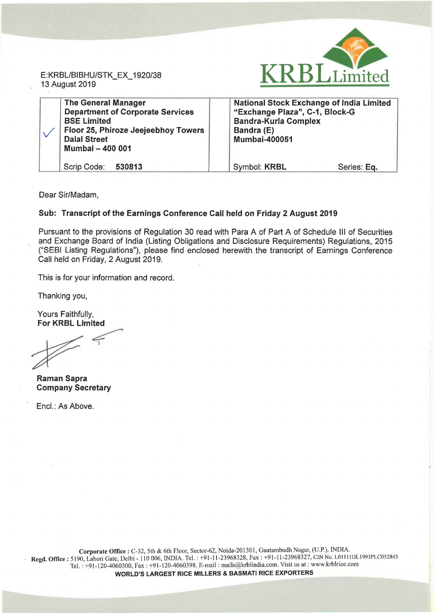

E:KRBL/BIBHU/STK\_EX\_ 1920/38 13 August 2019

| <b>The General Manager</b><br><b>Department of Corporate Services</b><br><b>BSE Limited</b><br>Floor 25, Phiroze Jeejeebhoy Towers<br><b>Dalal Street</b><br>Mumbai - 400 001 | <b>National Stock Exchange of India Limited</b><br>"Exchange Plaza", C-1, Block-G<br><b>Bandra-Kurla Complex</b><br>Bandra (E)<br><b>Mumbai-400051</b> |
|-------------------------------------------------------------------------------------------------------------------------------------------------------------------------------|--------------------------------------------------------------------------------------------------------------------------------------------------------|
| Scrip Code: 530813                                                                                                                                                            | Symbol: KRBL<br>Series: Eq.                                                                                                                            |

Dear Sir/Madam,

# Sub: Transcript of the Earnings Conference Call held on Friday 2 August 2019

Pursuant to the provisions of Regulation 30 read with Para A of Part A of Schedule Ill of Securities and Exchange Board of India (Listing Obligations and Disclosure Requirements) Regulations, 2015 ("SEBI Listing Regulations"), please find enclosed herewith the transcript of Earnings Conference Call held on Friday, 2 August 2019.

This is for your information and record.

Thanking you,

Yours Faithfully, For KRBL Limited

Thanking you,<br>Yours Faithfully,<br>For KRBL Limited

Raman Sapra Company Secretary

Encl.: As Above.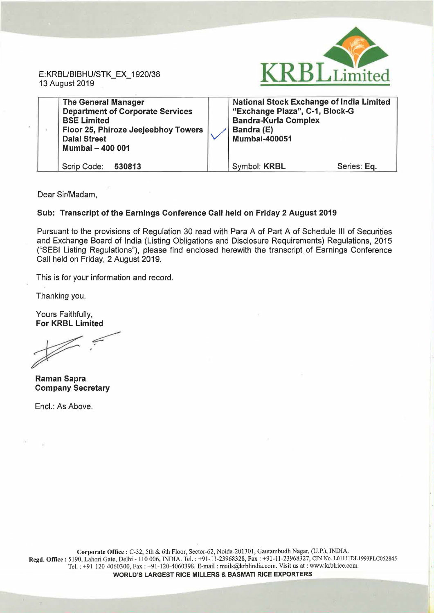

Dear Sir/Madam,

## Sub: Transcript of the Earnings Conference Call held on Friday 2 August 2019

Pursuant to the provisions of Regulation 30 read with Para A of Part A of Schedule Ill of Securities and Exchange Board of India (Listing Obligations and Disclosure Requirements) Regulations, 2015 ("SEBI Listing Regulations"), please find enclosed herewith the transcript of Earnings Conference Call held on Friday, 2 August 2019.

This is for your information and record.

Thanking you,

Yours Faithfully, For KRBL Limited

Raman Sapra Company Secretary

Encl.: As Above.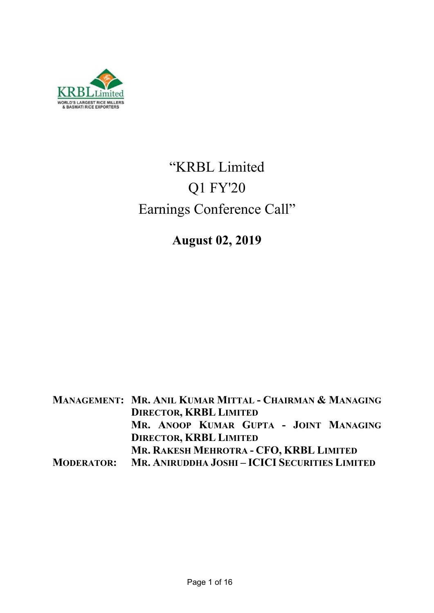

# "KRBL Limited Q1 FY'20 Earnings Conference Call"

**August 02, 2019** 

**MANAGEMENT: MR. ANIL KUMAR MITTAL - CHAIRMAN & MANAGING DIRECTOR, KRBL LIMITED MR. ANOOP KUMAR GUPTA - JOINT MANAGING DIRECTOR, KRBL LIMITED MR. RAKESH MEHROTRA - CFO, KRBL LIMITED MODERATOR: MR. ANIRUDDHA JOSHI – ICICI SECURITIES LIMITED**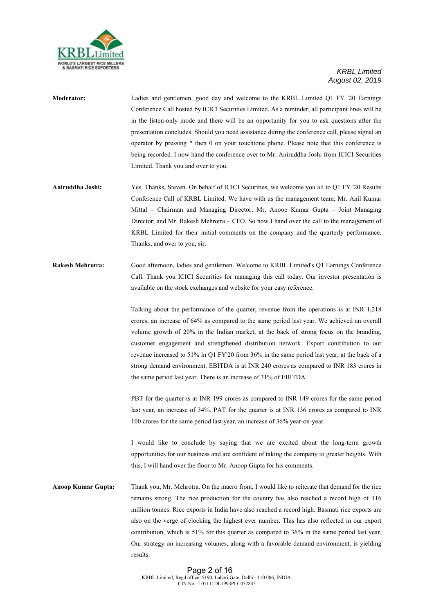

- **Moderator:** Ladies and gentlemen, good day and welcome to the KRBL Limited Q1 FY '20 Earnings Conference Call hosted by ICICI Securities Limited. As a reminder, all participant lines will be in the listen-only mode and there will be an opportunity for you to ask questions after the presentation concludes. Should you need assistance during the conference call, please signal an operator by pressing \* then 0 on your touchtone phone. Please note that this conference is being recorded. I now hand the conference over to Mr. Aniruddha Joshi from ICICI Securities Limited. Thank you and over to you.
- **Aniruddha Joshi:** Yes. Thanks, Steven. On behalf of ICICI Securities, we welcome you all to Q1 FY '20 Results Conference Call of KRBL Limited. We have with us the management team; Mr. Anil Kumar Mittal – Chairman and Managing Director; Mr. Anoop Kumar Gupta – Joint Managing Director; and Mr. Rakesh Mehrotra – CFO. So now I hand over the call to the management of KRBL Limited for their initial comments on the company and the quarterly performance. Thanks, and over to you, sir.
- **Rakesh Mehrotra:** Good afternoon, ladies and gentlemen. Welcome to KRBL Limited's Q1 Earnings Conference Call. Thank you ICICI Securities for managing this call today. Our investor presentation is available on the stock exchanges and website for your easy reference.

Talking about the performance of the quarter, revenue from the operations is at INR 1,218 crores, an increase of 64% as compared to the same period last year. We achieved an overall volume growth of 20% in the Indian market, at the back of strong focus on the branding, customer engagement and strengthened distribution network. Export contribution to our revenue increased to 51% in Q1 FY'20 from 36% in the same period last year, at the back of a strong demand environment. EBITDA is at INR 240 crores as compared to INR 183 crores in the same period last year. There is an increase of 31% of EBITDA.

PBT for the quarter is at INR 199 crores as compared to INR 149 crores for the same period last year, an increase of 34%. PAT for the quarter is at INR 136 crores as compared to INR 100 crores for the same period last year, an increase of 36% year-on-year.

I would like to conclude by saying that we are excited about the long-term growth opportunities for our business and are confident of taking the company to greater heights. With this, I will hand over the floor to Mr. Anoop Gupta for his comments.

**Anoop Kumar Gupta:** Thank you, Mr. Mehrotra. On the macro front, I would like to reiterate that demand for the rice remains strong. The rice production for the country has also reached a record high of 116 million tonnes. Rice exports in India have also reached a record high. Basmati rice exports are also on the verge of clocking the highest ever number. This has also reflected in our export contribution, which is 51% for this quarter as compared to 36% in the same period last year. Our strategy on increasing volumes, along with a favorable demand environment, is yielding results.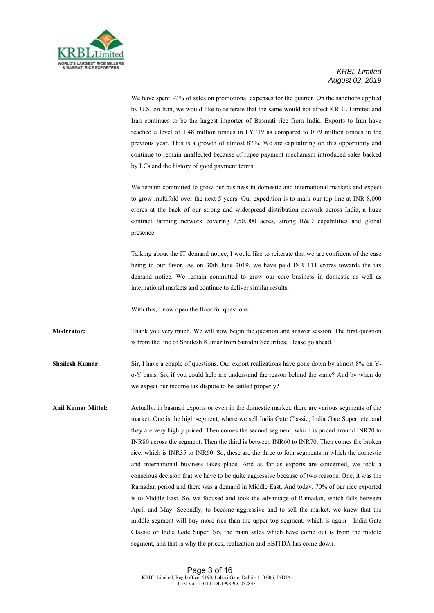

We have spent  $\sim$ 2% of sales on promotional expenses for the quarter. On the sanctions applied by U.S. on Iran, we would like to reiterate that the same would not affect KRBL Limited and Iran continues to be the largest importer of Basmati rice from India. Exports to Iran have reached a level of 1.48 million tonnes in FY '19 as compared to 0.79 million tonnes in the previous year. This is a growth of almost 87%. We are capitalizing on this opportunity and continue to remain unaffected because of rupee payment mechanism introduced sales backed by LCs and the history of good payment terms.

We remain committed to grow our business in domestic and international markets and expect to grow multifold over the next 5 years. Our expedition is to mark our top line at INR 8,000 crores at the back of our strong and widespread distribution network across India, a huge contract farming network covering 2,50,000 acres, strong R&D capabilities and global presence.

Talking about the IT demand notice, I would like to reiterate that we are confident of the case being in our favor. As on 30th June 2019, we have paid INR 111 crores towards the tax demand notice. We remain committed to grow our core business in domestic as well as international markets and continue to deliver similar results.

With this, I now open the floor for questions.

**Moderator:** Thank you very much. We will now begin the question and answer session. The first question is from the line of Shailesh Kumar from Sunidhi Securities. Please go ahead.

**Shailesh Kumar:** Sir, I have a couple of questions. Our export realizations have gone down by almost 8% on Yo-Y basis. So, if you could help me understand the reason behind the same? And by when do we expect our income tax dispute to be settled properly?

Anil Kumar Mittal: Actually, in basmati exports or even in the domestic market, there are various segments of the market. One is the high segment, where we sell India Gate Classic, India Gate Super, etc. and they are very highly priced. Then comes the second segment, which is priced around INR70 to INR80 across the segment. Then the third is between INR60 to INR70. Then comes the broken rice, which is INR35 to INR60. So, these are the three to four segments in which the domestic and international business takes place. And as far as exports are concerned, we took a conscious decision that we have to be quite aggressive because of two reasons. One, it was the Ramadan period and there was a demand in Middle East. And today, 70% of our rice exported is to Middle East. So, we focused and took the advantage of Ramadan, which falls between April and May. Secondly, to become aggressive and to sell the market, we knew that the middle segment will buy more rice than the upper top segment, which is again - India Gate Classic or India Gate Super. So, the main sales which have come out is from the middle segment, and that is why the prices, realization and EBITDA has come down.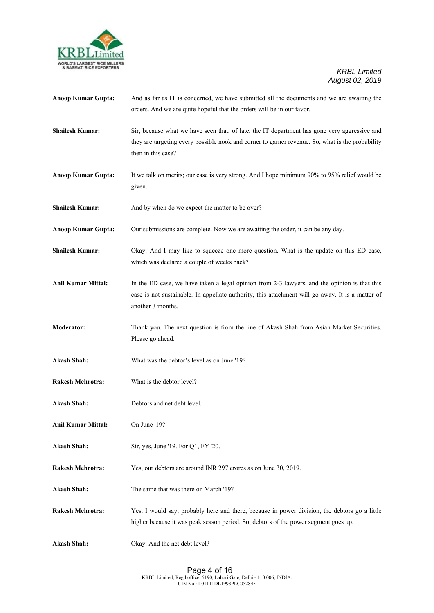

| <b>Anoop Kumar Gupta:</b> | And as far as IT is concerned, we have submitted all the documents and we are awaiting the<br>orders. And we are quite hopeful that the orders will be in our favor.                                                   |
|---------------------------|------------------------------------------------------------------------------------------------------------------------------------------------------------------------------------------------------------------------|
| <b>Shailesh Kumar:</b>    | Sir, because what we have seen that, of late, the IT department has gone very aggressive and<br>they are targeting every possible nook and corner to garner revenue. So, what is the probability<br>then in this case? |
| <b>Anoop Kumar Gupta:</b> | It we talk on merits; our case is very strong. And I hope minimum 90% to 95% relief would be<br>given.                                                                                                                 |
| <b>Shailesh Kumar:</b>    | And by when do we expect the matter to be over?                                                                                                                                                                        |
| <b>Anoop Kumar Gupta:</b> | Our submissions are complete. Now we are awaiting the order, it can be any day.                                                                                                                                        |
| <b>Shailesh Kumar:</b>    | Okay. And I may like to squeeze one more question. What is the update on this ED case,<br>which was declared a couple of weeks back?                                                                                   |
| <b>Anil Kumar Mittal:</b> | In the ED case, we have taken a legal opinion from 2-3 lawyers, and the opinion is that this<br>case is not sustainable. In appellate authority, this attachment will go away. It is a matter of<br>another 3 months.  |
| <b>Moderator:</b>         | Thank you. The next question is from the line of Akash Shah from Asian Market Securities.<br>Please go ahead.                                                                                                          |
| <b>Akash Shah:</b>        | What was the debtor's level as on June '19?                                                                                                                                                                            |
| <b>Rakesh Mehrotra:</b>   | What is the debtor level?                                                                                                                                                                                              |
| <b>Akash Shah:</b>        | Debtors and net debt level.                                                                                                                                                                                            |
| <b>Anil Kumar Mittal:</b> | On June '19?                                                                                                                                                                                                           |
| <b>Akash Shah:</b>        | Sir, yes, June '19. For Q1, FY '20.                                                                                                                                                                                    |
| <b>Rakesh Mehrotra:</b>   | Yes, our debtors are around INR 297 crores as on June 30, 2019.                                                                                                                                                        |
| <b>Akash Shah:</b>        | The same that was there on March '19?                                                                                                                                                                                  |
| <b>Rakesh Mehrotra:</b>   | Yes. I would say, probably here and there, because in power division, the debtors go a little<br>higher because it was peak season period. So, debtors of the power segment goes up.                                   |
| <b>Akash Shah:</b>        | Okay. And the net debt level?                                                                                                                                                                                          |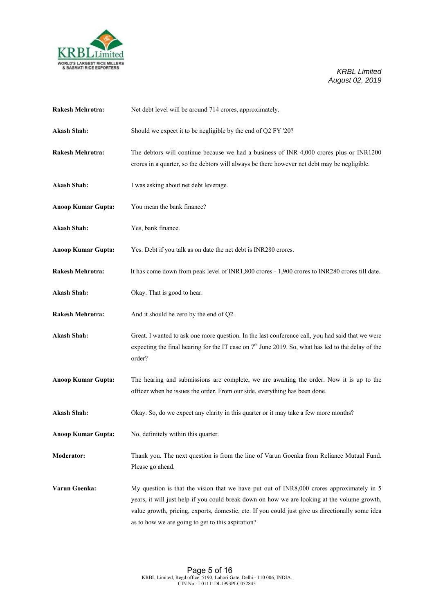

| <b>Rakesh Mehrotra:</b>   | Net debt level will be around 714 crores, approximately.                                                                                                                                                                                                                                                                                           |
|---------------------------|----------------------------------------------------------------------------------------------------------------------------------------------------------------------------------------------------------------------------------------------------------------------------------------------------------------------------------------------------|
| <b>Akash Shah:</b>        | Should we expect it to be negligible by the end of Q2 FY '20?                                                                                                                                                                                                                                                                                      |
| <b>Rakesh Mehrotra:</b>   | The debtors will continue because we had a business of INR 4,000 crores plus or INR1200<br>crores in a quarter, so the debtors will always be there however net debt may be negligible.                                                                                                                                                            |
| <b>Akash Shah:</b>        | I was asking about net debt leverage.                                                                                                                                                                                                                                                                                                              |
| <b>Anoop Kumar Gupta:</b> | You mean the bank finance?                                                                                                                                                                                                                                                                                                                         |
| <b>Akash Shah:</b>        | Yes, bank finance.                                                                                                                                                                                                                                                                                                                                 |
| <b>Anoop Kumar Gupta:</b> | Yes. Debt if you talk as on date the net debt is INR280 crores.                                                                                                                                                                                                                                                                                    |
| <b>Rakesh Mehrotra:</b>   | It has come down from peak level of INR1,800 crores - 1,900 crores to INR280 crores till date.                                                                                                                                                                                                                                                     |
| <b>Akash Shah:</b>        | Okay. That is good to hear.                                                                                                                                                                                                                                                                                                                        |
| <b>Rakesh Mehrotra:</b>   | And it should be zero by the end of Q2.                                                                                                                                                                                                                                                                                                            |
| <b>Akash Shah:</b>        | Great. I wanted to ask one more question. In the last conference call, you had said that we were<br>expecting the final hearing for the IT case on $7th$ June 2019. So, what has led to the delay of the<br>order?                                                                                                                                 |
| <b>Anoop Kumar Gupta:</b> | The hearing and submissions are complete, we are awaiting the order. Now it is up to the<br>officer when he issues the order. From our side, everything has been done.                                                                                                                                                                             |
| <b>Akash Shah:</b>        | Okay. So, do we expect any clarity in this quarter or it may take a few more months?                                                                                                                                                                                                                                                               |
| <b>Anoop Kumar Gupta:</b> | No, definitely within this quarter.                                                                                                                                                                                                                                                                                                                |
| <b>Moderator:</b>         | Thank you. The next question is from the line of Varun Goenka from Reliance Mutual Fund.<br>Please go ahead.                                                                                                                                                                                                                                       |
| Varun Goenka:             | My question is that the vision that we have put out of INR8,000 crores approximately in 5<br>years, it will just help if you could break down on how we are looking at the volume growth,<br>value growth, pricing, exports, domestic, etc. If you could just give us directionally some idea<br>as to how we are going to get to this aspiration? |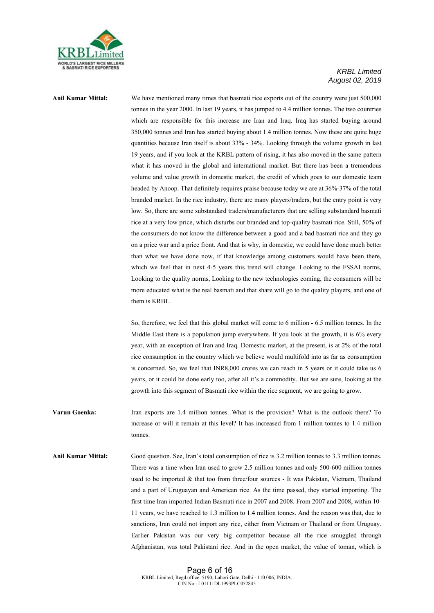

**Anil Kumar Mittal:** We have mentioned many times that basmati rice exports out of the country were just 500,000 tonnes in the year 2000. In last 19 years, it has jumped to 4.4 million tonnes. The two countries which are responsible for this increase are Iran and Iraq. Iraq has started buying around 350,000 tonnes and Iran has started buying about 1.4 million tonnes. Now these are quite huge quantities because Iran itself is about 33% - 34%. Looking through the volume growth in last 19 years, and if you look at the KRBL pattern of rising, it has also moved in the same pattern what it has moved in the global and international market. But there has been a tremendous volume and value growth in domestic market, the credit of which goes to our domestic team headed by Anoop. That definitely requires praise because today we are at 36%-37% of the total branded market. In the rice industry, there are many players/traders, but the entry point is very low. So, there are some substandard traders/manufacturers that are selling substandard basmati rice at a very low price, which disturbs our branded and top-quality basmati rice. Still, 50% of the consumers do not know the difference between a good and a bad basmati rice and they go on a price war and a price front. And that is why, in domestic, we could have done much better than what we have done now, if that knowledge among customers would have been there, which we feel that in next 4-5 years this trend will change. Looking to the FSSAI norms, Looking to the quality norms, Looking to the new technologies coming, the consumers will be more educated what is the real basmati and that share will go to the quality players, and one of them is KRBL.

> So, therefore, we feel that this global market will come to 6 million - 6.5 million tonnes. In the Middle East there is a population jump everywhere. If you look at the growth, it is 6% every year, with an exception of Iran and Iraq. Domestic market, at the present, is at 2% of the total rice consumption in the country which we believe would multifold into as far as consumption is concerned. So, we feel that INR8,000 crores we can reach in 5 years or it could take us 6 years, or it could be done early too, after all it's a commodity. But we are sure, looking at the growth into this segment of Basmati rice within the rice segment, we are going to grow.

**Varun Goenka:** Iran exports are 1.4 million tonnes. What is the provision? What is the outlook there? To increase or will it remain at this level? It has increased from 1 million tonnes to 1.4 million tonnes.

**Anil Kumar Mittal:** Good question. See, Iran's total consumption of rice is 3.2 million tonnes to 3.3 million tonnes. There was a time when Iran used to grow 2.5 million tonnes and only 500-600 million tonnes used to be imported & that too from three/four sources - It was Pakistan, Vietnam, Thailand and a part of Uruguayan and American rice. As the time passed, they started importing. The first time Iran imported Indian Basmati rice in 2007 and 2008. From 2007 and 2008, within 10- 11 years, we have reached to 1.3 million to 1.4 million tonnes. And the reason was that, due to sanctions, Iran could not import any rice, either from Vietnam or Thailand or from Uruguay. Earlier Pakistan was our very big competitor because all the rice smuggled through Afghanistan, was total Pakistani rice. And in the open market, the value of toman, which is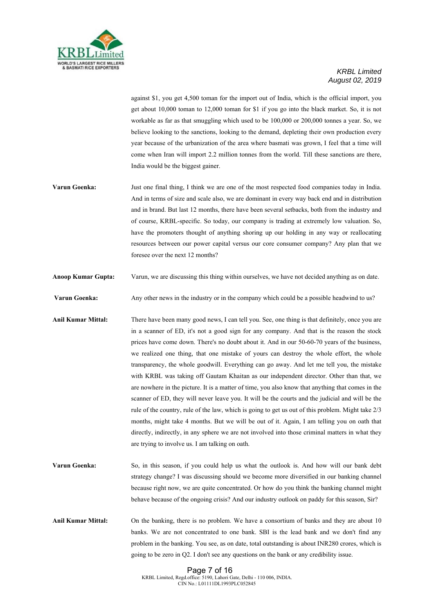

against \$1, you get 4,500 toman for the import out of India, which is the official import, you get about 10,000 toman to 12,000 toman for \$1 if you go into the black market. So, it is not workable as far as that smuggling which used to be 100,000 or 200,000 tonnes a year. So, we believe looking to the sanctions, looking to the demand, depleting their own production every year because of the urbanization of the area where basmati was grown, I feel that a time will come when Iran will import 2.2 million tonnes from the world. Till these sanctions are there, India would be the biggest gainer.

- **Varun Goenka:** Just one final thing, I think we are one of the most respected food companies today in India. And in terms of size and scale also, we are dominant in every way back end and in distribution and in brand. But last 12 months, there have been several setbacks, both from the industry and of course, KRBL-specific. So today, our company is trading at extremely low valuation. So, have the promoters thought of anything shoring up our holding in any way or reallocating resources between our power capital versus our core consumer company? Any plan that we foresee over the next 12 months?
- **Anoop Kumar Gupta:** Varun, we are discussing this thing within ourselves, we have not decided anything as on date.
- **Varun Goenka:** Any other news in the industry or in the company which could be a possible headwind to us?
- **Anil Kumar Mittal:** There have been many good news, I can tell you. See, one thing is that definitely, once you are in a scanner of ED, it's not a good sign for any company. And that is the reason the stock prices have come down. There's no doubt about it. And in our 50-60-70 years of the business, we realized one thing, that one mistake of yours can destroy the whole effort, the whole transparency, the whole goodwill. Everything can go away. And let me tell you, the mistake with KRBL was taking off Gautam Khaitan as our independent director. Other than that, we are nowhere in the picture. It is a matter of time, you also know that anything that comes in the scanner of ED, they will never leave you. It will be the courts and the judicial and will be the rule of the country, rule of the law, which is going to get us out of this problem. Might take 2/3 months, might take 4 months. But we will be out of it. Again, I am telling you on oath that directly, indirectly, in any sphere we are not involved into those criminal matters in what they are trying to involve us. I am talking on oath.
- **Varun Goenka:** So, in this season, if you could help us what the outlook is. And how will our bank debt strategy change? I was discussing should we become more diversified in our banking channel because right now, we are quite concentrated. Or how do you think the banking channel might behave because of the ongoing crisis? And our industry outlook on paddy for this season, Sir?
- **Anil Kumar Mittal:** On the banking, there is no problem. We have a consortium of banks and they are about 10 banks. We are not concentrated to one bank. SBI is the lead bank and we don't find any problem in the banking. You see, as on date, total outstanding is about INR280 crores, which is going to be zero in Q2. I don't see any questions on the bank or any credibility issue.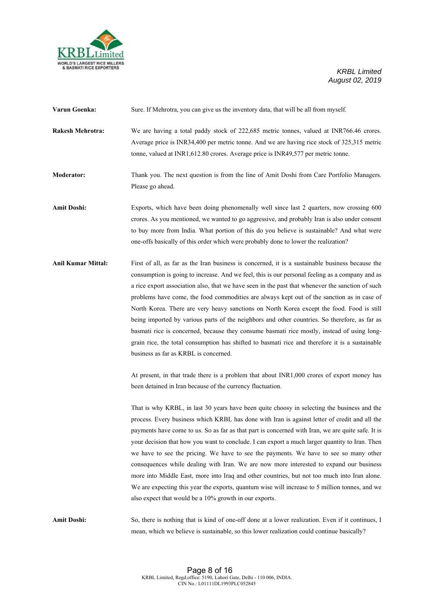

| Varun Goenka:             | Sure. If Mehrotra, you can give us the inventory data, that will be all from myself.                                                                                                                                                                                                                                                                                                                                                                                                                                                                                                                                                                                                                                                                                                                                                                |
|---------------------------|-----------------------------------------------------------------------------------------------------------------------------------------------------------------------------------------------------------------------------------------------------------------------------------------------------------------------------------------------------------------------------------------------------------------------------------------------------------------------------------------------------------------------------------------------------------------------------------------------------------------------------------------------------------------------------------------------------------------------------------------------------------------------------------------------------------------------------------------------------|
| <b>Rakesh Mehrotra:</b>   | We are having a total paddy stock of 222,685 metric tonnes, valued at INR766.46 crores.<br>Average price is INR34,400 per metric tonne. And we are having rice stock of 325,315 metric<br>tonne, valued at INR1,612.80 crores. Average price is INR49,577 per metric tonne.                                                                                                                                                                                                                                                                                                                                                                                                                                                                                                                                                                         |
| Moderator:                | Thank you. The next question is from the line of Amit Doshi from Care Portfolio Managers.<br>Please go ahead.                                                                                                                                                                                                                                                                                                                                                                                                                                                                                                                                                                                                                                                                                                                                       |
| <b>Amit Doshi:</b>        | Exports, which have been doing phenomenally well since last 2 quarters, now crossing 600<br>crores. As you mentioned, we wanted to go aggressive, and probably Iran is also under consent<br>to buy more from India. What portion of this do you believe is sustainable? And what were<br>one-offs basically of this order which were probably done to lower the realization?                                                                                                                                                                                                                                                                                                                                                                                                                                                                       |
| <b>Anil Kumar Mittal:</b> | First of all, as far as the Iran business is concerned, it is a sustainable business because the<br>consumption is going to increase. And we feel, this is our personal feeling as a company and as<br>a rice export association also, that we have seen in the past that whenever the sanction of such<br>problems have come, the food commodities are always kept out of the sanction as in case of<br>North Korea. There are very heavy sanctions on North Korea except the food. Food is still<br>being imported by various parts of the neighbors and other countries. So therefore, as far as<br>basmati rice is concerned, because they consume basmati rice mostly, instead of using long-<br>grain rice, the total consumption has shifted to basmati rice and therefore it is a sustainable<br>business as far as KRBL is concerned.      |
|                           | At present, in that trade there is a problem that about INR1,000 crores of export money has<br>been detained in Iran because of the currency fluctuation.                                                                                                                                                                                                                                                                                                                                                                                                                                                                                                                                                                                                                                                                                           |
|                           | That is why KRBL, in last 30 years have been quite choosy in selecting the business and the<br>process. Every business which KRBL has done with Iran is against letter of credit and all the<br>payments have come to us. So as far as that part is concerned with Iran, we are quite safe. It is<br>your decision that how you want to conclude. I can export a much larger quantity to Iran. Then<br>we have to see the pricing. We have to see the payments. We have to see so many other<br>consequences while dealing with Iran. We are now more interested to expand our business<br>more into Middle East, more into Iraq and other countries, but not too much into Iran alone.<br>We are expecting this year the exports, quantum wise will increase to 5 million tonnes, and we<br>also expect that would be a 10% growth in our exports. |
| <b>Amit Doshi:</b>        | So, there is nothing that is kind of one-off done at a lower realization. Even if it continues, I                                                                                                                                                                                                                                                                                                                                                                                                                                                                                                                                                                                                                                                                                                                                                   |

mean, which we believe is sustainable, so this lower realization could continue basically?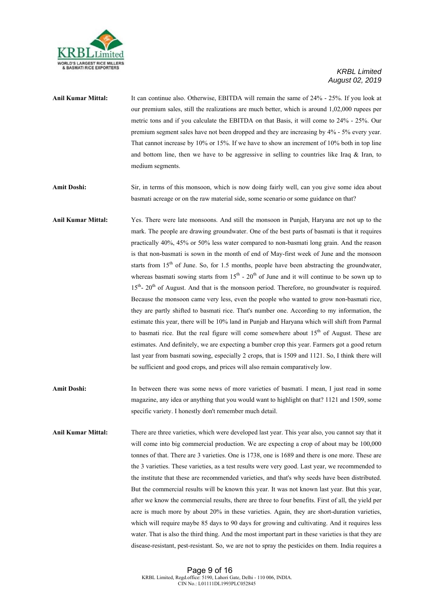

- **Anil Kumar Mittal:** It can continue also. Otherwise, EBITDA will remain the same of 24% 25%. If you look at our premium sales, still the realizations are much better, which is around 1,02,000 rupees per metric tons and if you calculate the EBITDA on that Basis, it will come to 24% - 25%. Our premium segment sales have not been dropped and they are increasing by 4% - 5% every year. That cannot increase by 10% or 15%. If we have to show an increment of 10% both in top line and bottom line, then we have to be aggressive in selling to countries like Iraq  $\&$  Iran, to medium segments.
- **Amit Doshi:** Sir, in terms of this monsoon, which is now doing fairly well, can you give some idea about basmati acreage or on the raw material side, some scenario or some guidance on that?
- **Anil Kumar Mittal:** Yes. There were late monsoons. And still the monsoon in Punjab, Haryana are not up to the mark. The people are drawing groundwater. One of the best parts of basmati is that it requires practically 40%, 45% or 50% less water compared to non-basmati long grain. And the reason is that non-basmati is sown in the month of end of May-first week of June and the monsoon starts from  $15<sup>th</sup>$  of June. So, for 1.5 months, people have been abstracting the groundwater, whereas basmati sowing starts from  $15<sup>th</sup>$  -  $20<sup>th</sup>$  of June and it will continue to be sown up to  $15<sup>th</sup>$ - 20<sup>th</sup> of August. And that is the monsoon period. Therefore, no groundwater is required. Because the monsoon came very less, even the people who wanted to grow non-basmati rice, they are partly shifted to basmati rice. That's number one. According to my information, the estimate this year, there will be 10% land in Punjab and Haryana which will shift from Parmal to basmati rice. But the real figure will come somewhere about  $15<sup>th</sup>$  of August. These are estimates. And definitely, we are expecting a bumber crop this year. Farmers got a good return last year from basmati sowing, especially 2 crops, that is 1509 and 1121. So, I think there will be sufficient and good crops, and prices will also remain comparatively low.
- Amit Doshi: In between there was some news of more varieties of basmati. I mean, I just read in some magazine, any idea or anything that you would want to highlight on that? 1121 and 1509, some specific variety. I honestly don't remember much detail.
- **Anil Kumar Mittal:** There are three varieties, which were developed last year. This year also, you cannot say that it will come into big commercial production. We are expecting a crop of about may be 100,000 tonnes of that. There are 3 varieties. One is 1738, one is 1689 and there is one more. These are the 3 varieties. These varieties, as a test results were very good. Last year, we recommended to the institute that these are recommended varieties, and that's why seeds have been distributed. But the commercial results will be known this year. It was not known last year. But this year, after we know the commercial results, there are three to four benefits. First of all, the yield per acre is much more by about 20% in these varieties. Again, they are short-duration varieties, which will require maybe 85 days to 90 days for growing and cultivating. And it requires less water. That is also the third thing. And the most important part in these varieties is that they are disease-resistant, pest-resistant. So, we are not to spray the pesticides on them. India requires a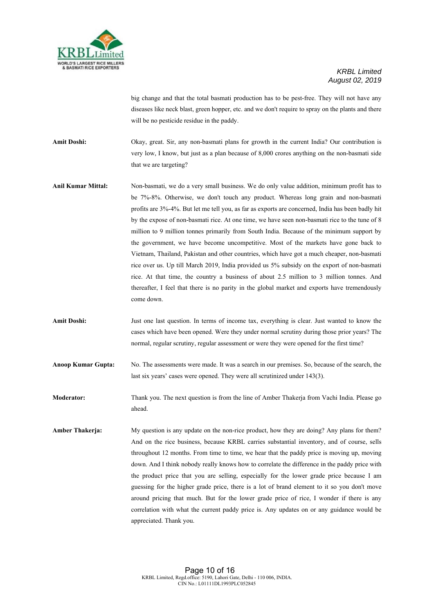

big change and that the total basmati production has to be pest-free. They will not have any diseases like neck blast, green hopper, etc. and we don't require to spray on the plants and there will be no pesticide residue in the paddy.

**Amit Doshi:** Okay, great. Sir, any non-basmati plans for growth in the current India? Our contribution is very low, I know, but just as a plan because of 8,000 crores anything on the non-basmati side that we are targeting?

- **Anil Kumar Mittal:** Non-basmati, we do a very small business. We do only value addition, minimum profit has to be 7%-8%. Otherwise, we don't touch any product. Whereas long grain and non-basmati profits are 3%-4%. But let me tell you, as far as exports are concerned, India has been badly hit by the expose of non-basmati rice. At one time, we have seen non-basmati rice to the tune of 8 million to 9 million tonnes primarily from South India. Because of the minimum support by the government, we have become uncompetitive. Most of the markets have gone back to Vietnam, Thailand, Pakistan and other countries, which have got a much cheaper, non-basmati rice over us. Up till March 2019, India provided us 5% subsidy on the export of non-basmati rice. At that time, the country a business of about 2.5 million to 3 million tonnes. And thereafter, I feel that there is no parity in the global market and exports have tremendously come down.
- Amit Doshi: Just one last question. In terms of income tax, everything is clear. Just wanted to know the cases which have been opened. Were they under normal scrutiny during those prior years? The normal, regular scrutiny, regular assessment or were they were opened for the first time?
- **Anoop Kumar Gupta:** No. The assessments were made. It was a search in our premises. So, because of the search, the last six years' cases were opened. They were all scrutinized under 143(3).

**Moderator:** Thank you. The next question is from the line of Amber Thakerja from Vachi India. Please go ahead.

**Amber Thakerja:** My question is any update on the non-rice product, how they are doing? Any plans for them? And on the rice business, because KRBL carries substantial inventory, and of course, sells throughout 12 months. From time to time, we hear that the paddy price is moving up, moving down. And I think nobody really knows how to correlate the difference in the paddy price with the product price that you are selling, especially for the lower grade price because I am guessing for the higher grade price, there is a lot of brand element to it so you don't move around pricing that much. But for the lower grade price of rice, I wonder if there is any correlation with what the current paddy price is. Any updates on or any guidance would be appreciated. Thank you.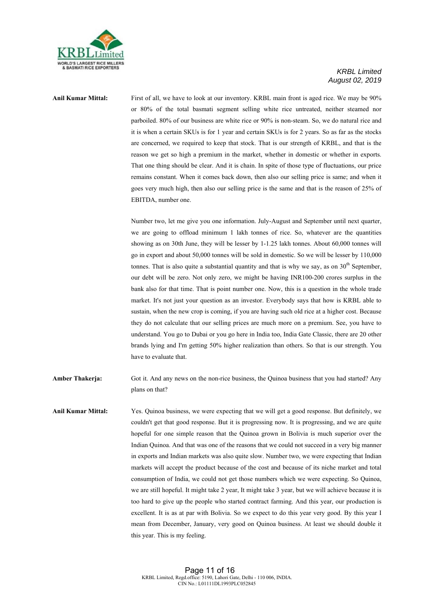

**Anil Kumar Mittal:** First of all, we have to look at our inventory. KRBL main front is aged rice. We may be 90% or 80% of the total basmati segment selling white rice untreated, neither steamed nor parboiled. 80% of our business are white rice or 90% is non-steam. So, we do natural rice and it is when a certain SKUs is for 1 year and certain SKUs is for 2 years. So as far as the stocks are concerned, we required to keep that stock. That is our strength of KRBL, and that is the reason we get so high a premium in the market, whether in domestic or whether in exports. That one thing should be clear. And it is chain. In spite of those type of fluctuations, our price remains constant. When it comes back down, then also our selling price is same; and when it goes very much high, then also our selling price is the same and that is the reason of 25% of EBITDA, number one.

> Number two, let me give you one information. July-August and September until next quarter, we are going to offload minimum 1 lakh tonnes of rice. So, whatever are the quantities showing as on 30th June, they will be lesser by 1-1.25 lakh tonnes. About 60,000 tonnes will go in export and about 50,000 tonnes will be sold in domestic. So we will be lesser by 110,000 tonnes. That is also quite a substantial quantity and that is why we say, as on  $30<sup>th</sup>$  September, our debt will be zero. Not only zero, we might be having INR100-200 crores surplus in the bank also for that time. That is point number one. Now, this is a question in the whole trade market. It's not just your question as an investor. Everybody says that how is KRBL able to sustain, when the new crop is coming, if you are having such old rice at a higher cost. Because they do not calculate that our selling prices are much more on a premium. See, you have to understand. You go to Dubai or you go here in India too, India Gate Classic, there are 20 other brands lying and I'm getting 50% higher realization than others. So that is our strength. You have to evaluate that.

- **Amber Thakerja:** Got it. And any news on the non-rice business, the Quinoa business that you had started? Any plans on that?
- **Anil Kumar Mittal:** Yes. Quinoa business, we were expecting that we will get a good response. But definitely, we couldn't get that good response. But it is progressing now. It is progressing, and we are quite hopeful for one simple reason that the Quinoa grown in Bolivia is much superior over the Indian Quinoa. And that was one of the reasons that we could not succeed in a very big manner in exports and Indian markets was also quite slow. Number two, we were expecting that Indian markets will accept the product because of the cost and because of its niche market and total consumption of India, we could not get those numbers which we were expecting. So Quinoa, we are still hopeful. It might take 2 year, It might take 3 year, but we will achieve because it is too hard to give up the people who started contract farming. And this year, our production is excellent. It is as at par with Bolivia. So we expect to do this year very good. By this year I mean from December, January, very good on Quinoa business. At least we should double it this year. This is my feeling.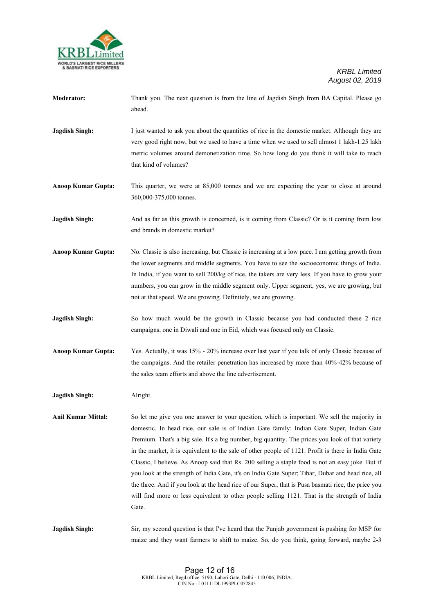

- **Moderator:** Thank you. The next question is from the line of Jagdish Singh from BA Capital. Please go ahead.
- **Jagdish Singh:** I just wanted to ask you about the quantities of rice in the domestic market. Although they are very good right now, but we used to have a time when we used to sell almost 1 lakh-1.25 lakh metric volumes around demonetization time. So how long do you think it will take to reach that kind of volumes?

**Anoop Kumar Gupta:** This quarter, we were at 85,000 tonnes and we are expecting the year to close at around 360,000-375,000 tonnes.

**Jagdish Singh:** And as far as this growth is concerned, is it coming from Classic? Or is it coming from low end brands in domestic market?

**Anoop Kumar Gupta:** No. Classic is also increasing, but Classic is increasing at a low pace. I am getting growth from the lower segments and middle segments. You have to see the socioeconomic things of India. In India, if you want to sell 200/kg of rice, the takers are very less. If you have to grow your numbers, you can grow in the middle segment only. Upper segment, yes, we are growing, but not at that speed. We are growing. Definitely, we are growing.

**Jagdish Singh:** So how much would be the growth in Classic because you had conducted these 2 rice campaigns, one in Diwali and one in Eid, which was focused only on Classic.

**Anoop Kumar Gupta:** Yes. Actually, it was 15% - 20% increase over last year if you talk of only Classic because of the campaigns. And the retailer penetration has increased by more than 40%-42% because of the sales team efforts and above the line advertisement.

**Jagdish Singh:** Alright.

**Anil Kumar Mittal:** So let me give you one answer to your question, which is important. We sell the majority in domestic. In head rice, our sale is of Indian Gate family: Indian Gate Super, Indian Gate Premium. That's a big sale. It's a big number, big quantity. The prices you look of that variety in the market, it is equivalent to the sale of other people of 1121. Profit is there in India Gate Classic, I believe. As Anoop said that Rs. 200 selling a staple food is not an easy joke. But if you look at the strength of India Gate, it's on India Gate Super; Tibar, Dubar and head rice, all the three. And if you look at the head rice of our Super, that is Pusa basmati rice, the price you will find more or less equivalent to other people selling 1121. That is the strength of India **Gate** 

**Jagdish Singh:** Sir, my second question is that I've heard that the Punjab government is pushing for MSP for maize and they want farmers to shift to maize. So, do you think, going forward, maybe 2-3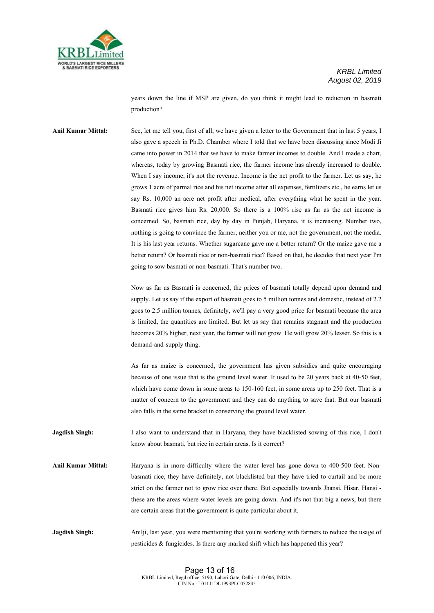

years down the line if MSP are given, do you think it might lead to reduction in basmati production?

**Anil Kumar Mittal:** See, let me tell you, first of all, we have given a letter to the Government that in last 5 years, I also gave a speech in Ph.D. Chamber where I told that we have been discussing since Modi Ji came into power in 2014 that we have to make farmer incomes to double. And I made a chart, whereas, today by growing Basmati rice, the farmer income has already increased to double. When I say income, it's not the revenue. Income is the net profit to the farmer. Let us say, he grows 1 acre of parmal rice and his net income after all expenses, fertilizers etc., he earns let us say Rs. 10,000 an acre net profit after medical, after everything what he spent in the year. Basmati rice gives him Rs. 20,000. So there is a 100% rise as far as the net income is concerned. So, basmati rice, day by day in Punjab, Haryana, it is increasing. Number two, nothing is going to convince the farmer, neither you or me, not the government, not the media. It is his last year returns. Whether sugarcane gave me a better return? Or the maize gave me a better return? Or basmati rice or non-basmati rice? Based on that, he decides that next year I'm going to sow basmati or non-basmati. That's number two.

> Now as far as Basmati is concerned, the prices of basmati totally depend upon demand and supply. Let us say if the export of basmati goes to 5 million tonnes and domestic, instead of 2.2 goes to 2.5 million tonnes, definitely, we'll pay a very good price for basmati because the area is limited, the quantities are limited. But let us say that remains stagnant and the production becomes 20% higher, next year, the farmer will not grow. He will grow 20% lesser. So this is a demand-and-supply thing.

> As far as maize is concerned, the government has given subsidies and quite encouraging because of one issue that is the ground level water. It used to be 20 years back at 40-50 feet, which have come down in some areas to 150-160 feet, in some areas up to 250 feet. That is a matter of concern to the government and they can do anything to save that. But our basmati also falls in the same bracket in conserving the ground level water.

**Jagdish Singh:** I also want to understand that in Haryana, they have blacklisted sowing of this rice, I don't know about basmati, but rice in certain areas. Is it correct?

**Anil Kumar Mittal:** Haryana is in more difficulty where the water level has gone down to 400-500 feet. Nonbasmati rice, they have definitely, not blacklisted but they have tried to curtail and be more strict on the farmer not to grow rice over there. But especially towards Jhansi, Hisar, Hansi these are the areas where water levels are going down. And it's not that big a news, but there are certain areas that the government is quite particular about it.

**Jagdish Singh:** Anilji, last year, you were mentioning that you're working with farmers to reduce the usage of pesticides & fungicides. Is there any marked shift which has happened this year?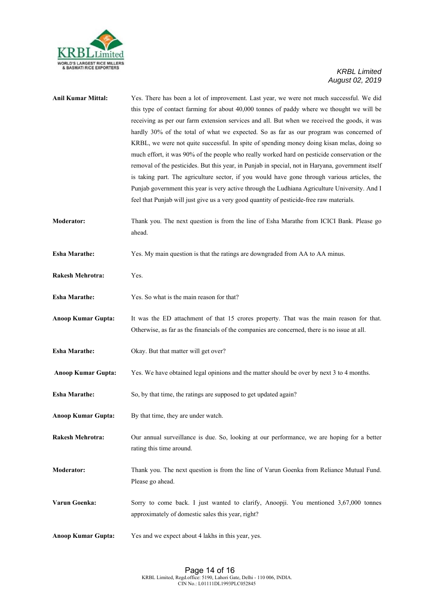

| <b>Anil Kumar Mittal:</b> | Yes. There has been a lot of improvement. Last year, we were not much successful. We did<br>this type of contact farming for about 40,000 tonnes of paddy where we thought we will be<br>receiving as per our farm extension services and all. But when we received the goods, it was<br>hardly 30% of the total of what we expected. So as far as our program was concerned of<br>KRBL, we were not quite successful. In spite of spending money doing kisan melas, doing so<br>much effort, it was 90% of the people who really worked hard on pesticide conservation or the<br>removal of the pesticides. But this year, in Punjab in special, not in Haryana, government itself<br>is taking part. The agriculture sector, if you would have gone through various articles, the<br>Punjab government this year is very active through the Ludhiana Agriculture University. And I<br>feel that Punjab will just give us a very good quantity of pesticide-free raw materials. |
|---------------------------|----------------------------------------------------------------------------------------------------------------------------------------------------------------------------------------------------------------------------------------------------------------------------------------------------------------------------------------------------------------------------------------------------------------------------------------------------------------------------------------------------------------------------------------------------------------------------------------------------------------------------------------------------------------------------------------------------------------------------------------------------------------------------------------------------------------------------------------------------------------------------------------------------------------------------------------------------------------------------------|
| <b>Moderator:</b>         | Thank you. The next question is from the line of Esha Marathe from ICICI Bank. Please go<br>ahead.                                                                                                                                                                                                                                                                                                                                                                                                                                                                                                                                                                                                                                                                                                                                                                                                                                                                               |
| <b>Esha Marathe:</b>      | Yes. My main question is that the ratings are downgraded from AA to AA minus.                                                                                                                                                                                                                                                                                                                                                                                                                                                                                                                                                                                                                                                                                                                                                                                                                                                                                                    |
| <b>Rakesh Mehrotra:</b>   | Yes.                                                                                                                                                                                                                                                                                                                                                                                                                                                                                                                                                                                                                                                                                                                                                                                                                                                                                                                                                                             |
| <b>Esha Marathe:</b>      | Yes. So what is the main reason for that?                                                                                                                                                                                                                                                                                                                                                                                                                                                                                                                                                                                                                                                                                                                                                                                                                                                                                                                                        |
| <b>Anoop Kumar Gupta:</b> | It was the ED attachment of that 15 crores property. That was the main reason for that.<br>Otherwise, as far as the financials of the companies are concerned, there is no issue at all.                                                                                                                                                                                                                                                                                                                                                                                                                                                                                                                                                                                                                                                                                                                                                                                         |
| <b>Esha Marathe:</b>      | Okay. But that matter will get over?                                                                                                                                                                                                                                                                                                                                                                                                                                                                                                                                                                                                                                                                                                                                                                                                                                                                                                                                             |
| <b>Anoop Kumar Gupta:</b> | Yes. We have obtained legal opinions and the matter should be over by next 3 to 4 months.                                                                                                                                                                                                                                                                                                                                                                                                                                                                                                                                                                                                                                                                                                                                                                                                                                                                                        |
| <b>Esha Marathe:</b>      | So, by that time, the ratings are supposed to get updated again?                                                                                                                                                                                                                                                                                                                                                                                                                                                                                                                                                                                                                                                                                                                                                                                                                                                                                                                 |
| <b>Anoop Kumar Gupta:</b> | By that time, they are under watch.                                                                                                                                                                                                                                                                                                                                                                                                                                                                                                                                                                                                                                                                                                                                                                                                                                                                                                                                              |
| <b>Rakesh Mehrotra:</b>   | Our annual surveillance is due. So, looking at our performance, we are hoping for a better<br>rating this time around.                                                                                                                                                                                                                                                                                                                                                                                                                                                                                                                                                                                                                                                                                                                                                                                                                                                           |
| <b>Moderator:</b>         | Thank you. The next question is from the line of Varun Goenka from Reliance Mutual Fund.<br>Please go ahead.                                                                                                                                                                                                                                                                                                                                                                                                                                                                                                                                                                                                                                                                                                                                                                                                                                                                     |
| Varun Goenka:             | Sorry to come back. I just wanted to clarify, Anoopji. You mentioned 3,67,000 tonnes<br>approximately of domestic sales this year, right?                                                                                                                                                                                                                                                                                                                                                                                                                                                                                                                                                                                                                                                                                                                                                                                                                                        |
| <b>Anoop Kumar Gupta:</b> | Yes and we expect about 4 lakhs in this year, yes.                                                                                                                                                                                                                                                                                                                                                                                                                                                                                                                                                                                                                                                                                                                                                                                                                                                                                                                               |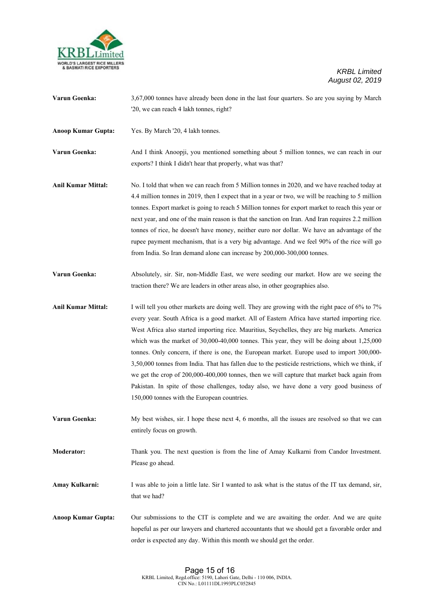

**Varun Goenka:** 3,67,000 tonnes have already been done in the last four quarters. So are you saying by March '20, we can reach 4 lakh tonnes, right?

**Anoop Kumar Gupta:** Yes. By March '20, 4 lakh tonnes.

**Varun Goenka:** And I think Anoopji, you mentioned something about 5 million tonnes, we can reach in our exports? I think I didn't hear that properly, what was that?

- **Anil Kumar Mittal:** No. I told that when we can reach from 5 Million tonnes in 2020, and we have reached today at 4.4 million tonnes in 2019, then I expect that in a year or two, we will be reaching to 5 million tonnes. Export market is going to reach 5 Million tonnes for export market to reach this year or next year, and one of the main reason is that the sanction on Iran. And Iran requires 2.2 million tonnes of rice, he doesn't have money, neither euro nor dollar. We have an advantage of the rupee payment mechanism, that is a very big advantage. And we feel 90% of the rice will go from India. So Iran demand alone can increase by 200,000-300,000 tonnes.
- Varun Goenka: Absolutely, sir. Sir, non-Middle East, we were seeding our market. How are we seeing the traction there? We are leaders in other areas also, in other geographies also.
- Anil Kumar Mittal: I will tell you other markets are doing well. They are growing with the right pace of 6% to 7% every year. South Africa is a good market. All of Eastern Africa have started importing rice. West Africa also started importing rice. Mauritius, Seychelles, they are big markets. America which was the market of 30,000-40,000 tonnes. This year, they will be doing about 1,25,000 tonnes. Only concern, if there is one, the European market. Europe used to import 300,000- 3,50,000 tonnes from India. That has fallen due to the pesticide restrictions, which we think, if we get the crop of 200,000-400,000 tonnes, then we will capture that market back again from Pakistan. In spite of those challenges, today also, we have done a very good business of 150,000 tonnes with the European countries.
- **Varun Goenka:** My best wishes, sir. I hope these next 4, 6 months, all the issues are resolved so that we can entirely focus on growth.

**Moderator:** Thank you. The next question is from the line of Amay Kulkarni from Candor Investment. Please go ahead.

**Amay Kulkarni:** I was able to join a little late. Sir I wanted to ask what is the status of the IT tax demand, sir, that we had?

**Anoop Kumar Gupta:** Our submissions to the CIT is complete and we are awaiting the order. And we are quite hopeful as per our lawyers and chartered accountants that we should get a favorable order and order is expected any day. Within this month we should get the order.